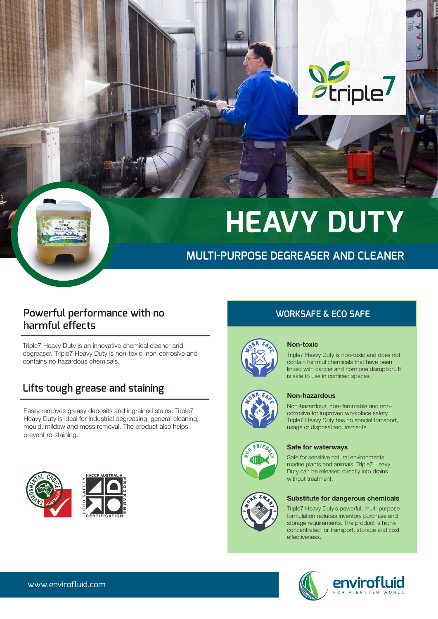

# **HEAVY DUTY**

## **MULTI-PURPOSE DEGREASER AND CLEANER**

## **Powerful performance with no harmful effects**

Triple7 Heavy Duty is an innovative chemical cleaner and degreaser. Triple7 Heavy Duty is non-toxic, non-corrosive and contains no hazardous chemicals.

## **Lifts tough grease and staining**

Easily removes greasy deposits and ingrained stains. Triple7 Heavy Duty is ideal for industrial degreasing, general cleaning, mould, mildew and moss removal. The product also helps prevent re-staining.



## **WORKSAFE & ECO SAFE**



#### Non-toxic

Triple7 Heavy Duty is non-toxic and does not contain harmful chemicals that have been linked with cancer and hormone disruption. It is safe to use in confined spaces.



#### Non-hazardous

Non-hazardous, non-flammable and noncorrosive for improved workplace safety. Triple7 Heavy Duty has no special transport, usage or disposal requirements.



## Safe for waterways

Safe for sensitive natural environments, marine plants and animals. Triple7 Heavy Duty can be released directly into drains without treatment.



#### Substitute for dangerous chemicals

Triple7 Heavy Duty's powerful, multi-purpose formulation reduces inventory purchase and storage requirements. The product is highly concentrated for transport, storage and cost effectiveness.